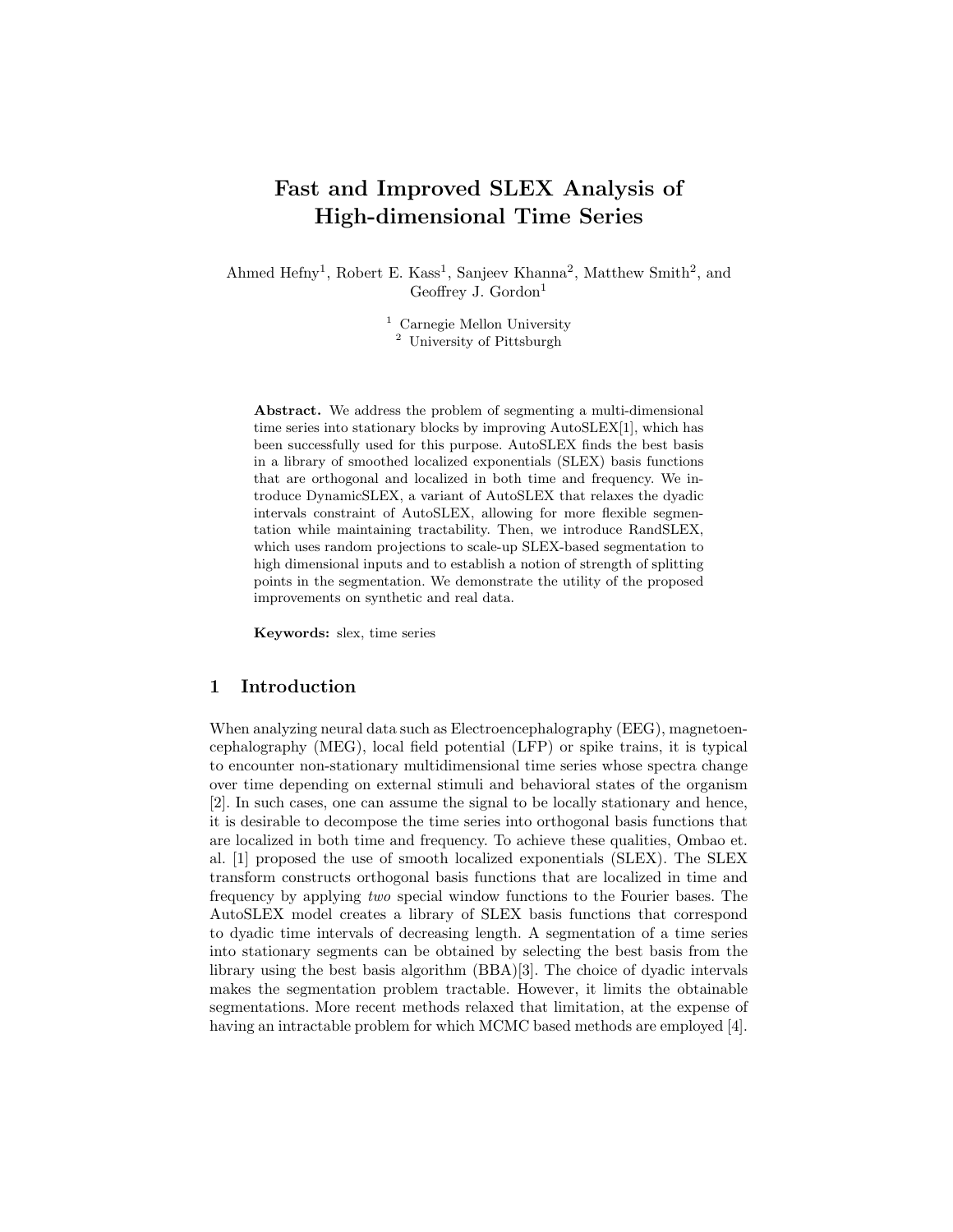# Fast and Improved SLEX Analysis of High-dimensional Time Series

Ahmed Hefny<sup>1</sup>, Robert E. Kass<sup>1</sup>, Sanjeev Khanna<sup>2</sup>, Matthew Smith<sup>2</sup>, and Geoffrey J. Gordon $<sup>1</sup>$ </sup>

> <sup>1</sup> Carnegie Mellon University <sup>2</sup> University of Pittsburgh

Abstract. We address the problem of segmenting a multi-dimensional time series into stationary blocks by improving AutoSLEX[1], which has been successfully used for this purpose. AutoSLEX finds the best basis in a library of smoothed localized exponentials (SLEX) basis functions that are orthogonal and localized in both time and frequency. We introduce DynamicSLEX, a variant of AutoSLEX that relaxes the dyadic intervals constraint of AutoSLEX, allowing for more flexible segmentation while maintaining tractability. Then, we introduce RandSLEX, which uses random projections to scale-up SLEX-based segmentation to high dimensional inputs and to establish a notion of strength of splitting points in the segmentation. We demonstrate the utility of the proposed improvements on synthetic and real data.

Keywords: slex, time series

### 1 Introduction

When analyzing neural data such as Electroencephalography (EEG), magnetoencephalography (MEG), local field potential (LFP) or spike trains, it is typical to encounter non-stationary multidimensional time series whose spectra change over time depending on external stimuli and behavioral states of the organism [2]. In such cases, one can assume the signal to be locally stationary and hence, it is desirable to decompose the time series into orthogonal basis functions that are localized in both time and frequency. To achieve these qualities, Ombao et. al. [1] proposed the use of smooth localized exponentials (SLEX). The SLEX transform constructs orthogonal basis functions that are localized in time and frequency by applying *two* special window functions to the Fourier bases. The AutoSLEX model creates a library of SLEX basis functions that correspond to dyadic time intervals of decreasing length. A segmentation of a time series into stationary segments can be obtained by selecting the best basis from the library using the best basis algorithm (BBA)[3]. The choice of dyadic intervals makes the segmentation problem tractable. However, it limits the obtainable segmentations. More recent methods relaxed that limitation, at the expense of having an intractable problem for which MCMC based methods are employed [4].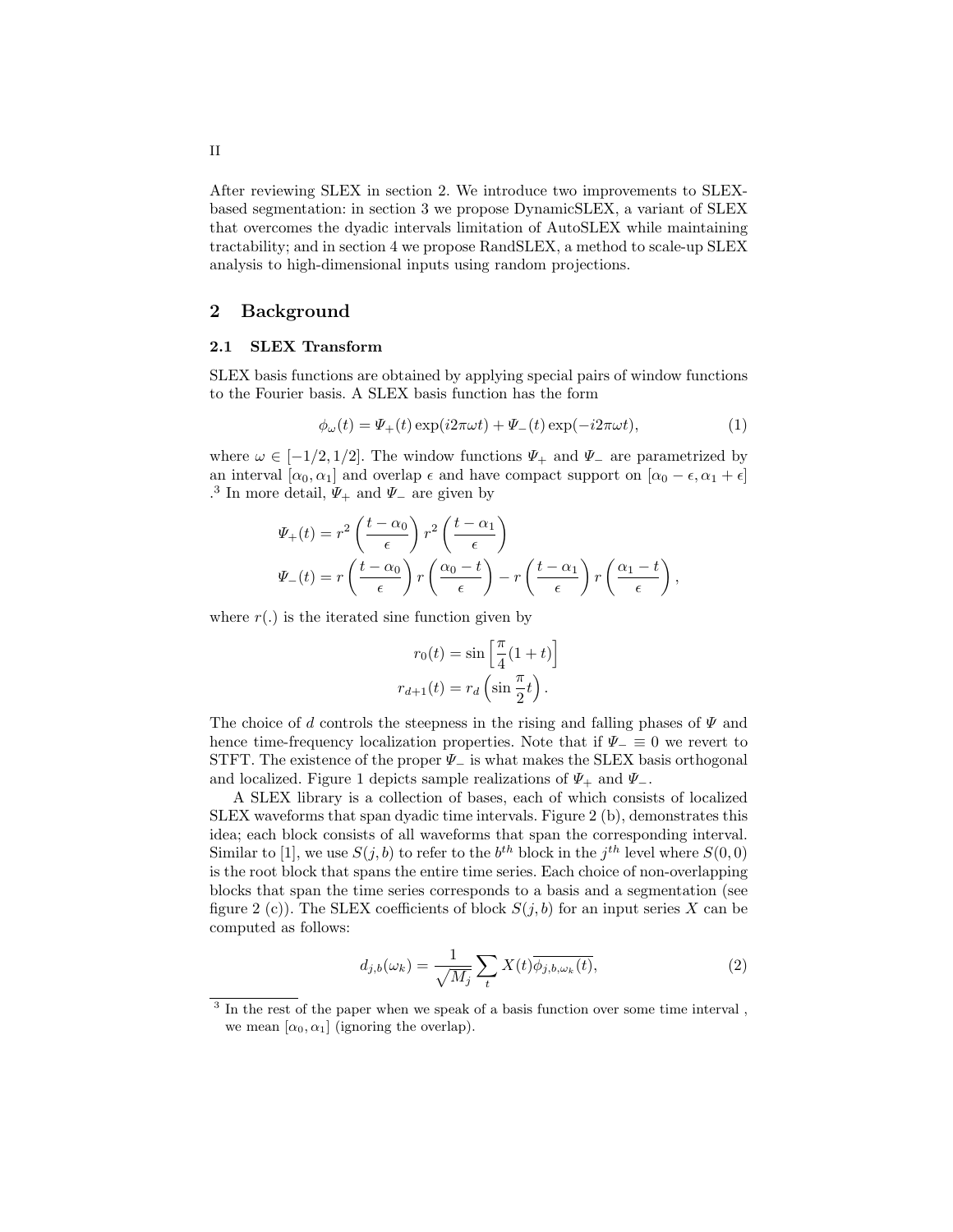After reviewing SLEX in section 2. We introduce two improvements to SLEXbased segmentation: in section 3 we propose DynamicSLEX, a variant of SLEX that overcomes the dyadic intervals limitation of AutoSLEX while maintaining tractability; and in section 4 we propose RandSLEX, a method to scale-up SLEX analysis to high-dimensional inputs using random projections.

## 2 Background

#### 2.1 SLEX Transform

SLEX basis functions are obtained by applying special pairs of window functions to the Fourier basis. A SLEX basis function has the form

$$
\phi_{\omega}(t) = \Psi_{+}(t) \exp(i2\pi\omega t) + \Psi_{-}(t) \exp(-i2\pi\omega t), \qquad (1)
$$

where  $\omega \in [-1/2, 1/2]$ . The window functions  $\Psi_+$  and  $\Psi_-$  are parametrized by an interval  $[\alpha_0, \alpha_1]$  and overlap  $\epsilon$  and have compact support on  $[\alpha_0 - \epsilon, \alpha_1 + \epsilon]$ .<sup>3</sup> In more detail,  $\Psi_+$  and  $\Psi_-$  are given by

$$
\Psi_{+}(t) = r^{2} \left( \frac{t - \alpha_{0}}{\epsilon} \right) r^{2} \left( \frac{t - \alpha_{1}}{\epsilon} \right)
$$

$$
\Psi_{-}(t) = r \left( \frac{t - \alpha_{0}}{\epsilon} \right) r \left( \frac{\alpha_{0} - t}{\epsilon} \right) - r \left( \frac{t - \alpha_{1}}{\epsilon} \right) r \left( \frac{\alpha_{1} - t}{\epsilon} \right),
$$

where  $r(.)$  is the iterated sine function given by

$$
r_0(t) = \sin\left[\frac{\pi}{4}(1+t)\right]
$$

$$
r_{d+1}(t) = r_d\left(\sin\frac{\pi}{2}t\right).
$$

The choice of *d* controls the steepness in the rising and falling phases of  $\Psi$  and hence time-frequency localization properties. Note that if  $\Psi_{-} \equiv 0$  we revert to STFT. The existence of the proper  $\Psi_{-}$  is what makes the SLEX basis orthogonal and localized. Figure 1 depicts sample realizations of  $\Psi_+$  and  $\Psi_-$ .

A SLEX library is a collection of bases, each of which consists of localized SLEX waveforms that span dyadic time intervals. Figure 2 (b), demonstrates this idea; each block consists of all waveforms that span the corresponding interval. Similar to [1], we use  $S(j, b)$  to refer to the  $b^{th}$  block in the  $j^{th}$  level where  $S(0, 0)$ is the root block that spans the entire time series. Each choice of non-overlapping blocks that span the time series corresponds to a basis and a segmentation (see figure 2 (c)). The SLEX coefficients of block  $S(j, b)$  for an input series X can be computed as follows:

$$
d_{j,b}(\omega_k) = \frac{1}{\sqrt{M_j}} \sum_t X(t) \overline{\phi_{j,b,\omega_k}(t)},
$$
\n(2)

<sup>3</sup> In the rest of the paper when we speak of a basis function over some time interval , we mean  $[\alpha_0, \alpha_1]$  (ignoring the overlap).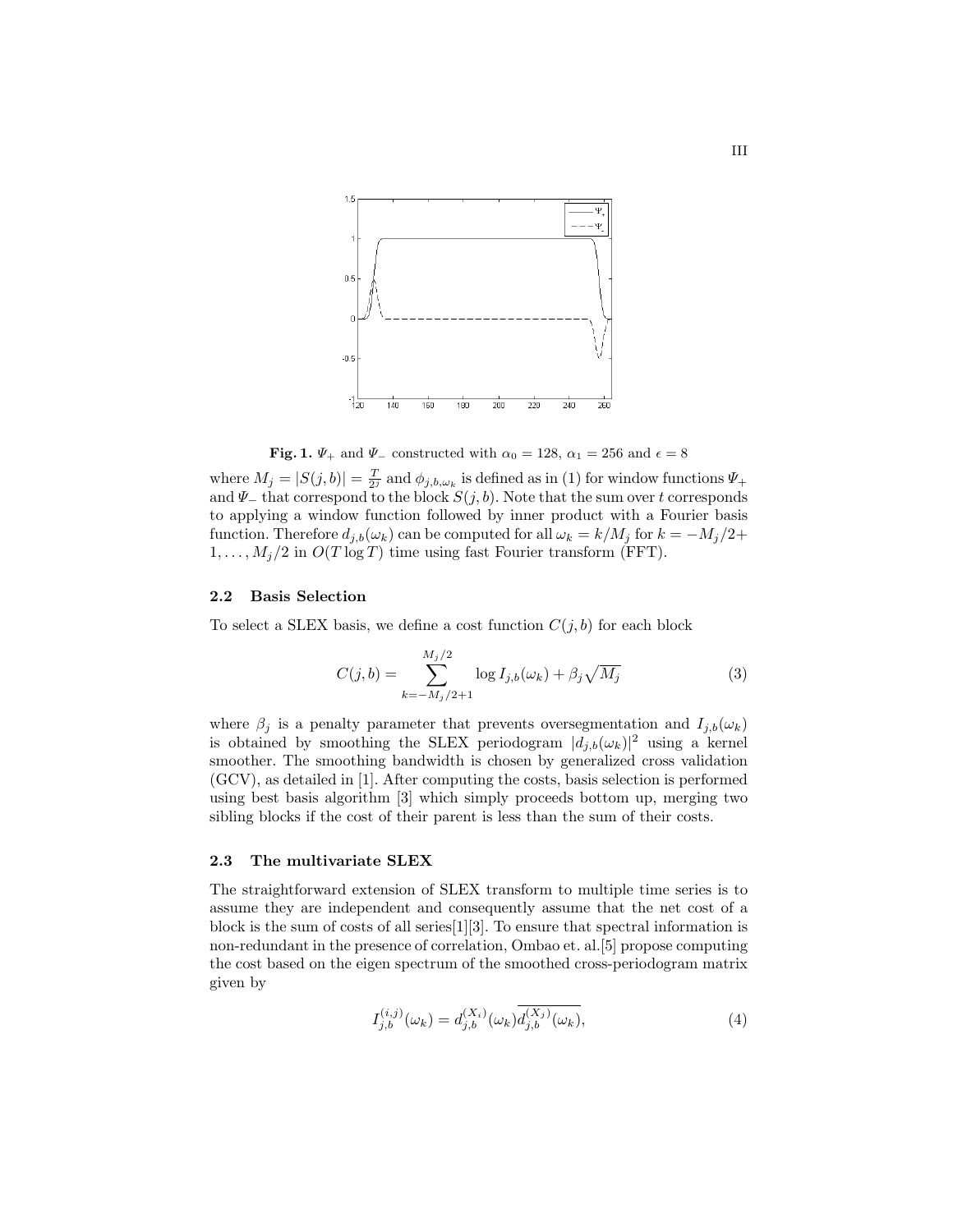

Fig. 1.  $\Psi_+$  and  $\Psi_-$  constructed with  $\alpha_0 = 128$ ,  $\alpha_1 = 256$  and  $\epsilon = 8$ 

where  $M_j = |S(j, b)| = \frac{T}{2^j}$  and  $\phi_{j, b, \omega_k}$  is defined as in (1) for window functions  $\Psi_+$ and  $\Psi$  that correspond to the block  $S(j, b)$ . Note that the sum over *t* corresponds to applying a window function followed by inner product with a Fourier basis function. Therefore  $d_{j,b}(\omega_k)$  can be computed for all  $\omega_k = k/M_j$  for  $k = -M_j/2$ +  $1, \ldots, M_j/2$  in  $O(T \log T)$  time using fast Fourier transform (FFT).

# 2.2 Basis Selection

To select a SLEX basis, we define a cost function  $C(j, b)$  for each block

$$
C(j,b) = \sum_{k=-M_j/2+1}^{M_j/2} \log I_{j,b}(\omega_k) + \beta_j \sqrt{M_j}
$$
 (3)

where  $\beta_j$  is a penalty parameter that prevents oversegmentation and  $I_{j,b}(\omega_k)$ is obtained by smoothing the SLEX periodogram  $|d_{j,b}(\omega_k)|^2$  using a kernel smoother. The smoothing bandwidth is chosen by generalized cross validation (GCV), as detailed in [1]. After computing the costs, basis selection is performed using best basis algorithm [3] which simply proceeds bottom up, merging two sibling blocks if the cost of their parent is less than the sum of their costs.

#### 2.3 The multivariate SLEX

The straightforward extension of SLEX transform to multiple time series is to assume they are independent and consequently assume that the net cost of a block is the sum of costs of all series [1][3]. To ensure that spectral information is non-redundant in the presence of correlation, Ombao et. al.[5] propose computing the cost based on the eigen spectrum of the smoothed cross-periodogram matrix given by

$$
I_{j,b}^{(i,j)}(\omega_k) = d_{j,b}^{(X_i)}(\omega_k) \overline{d_{j,b}^{(X_j)}(\omega_k)},
$$
\n(4)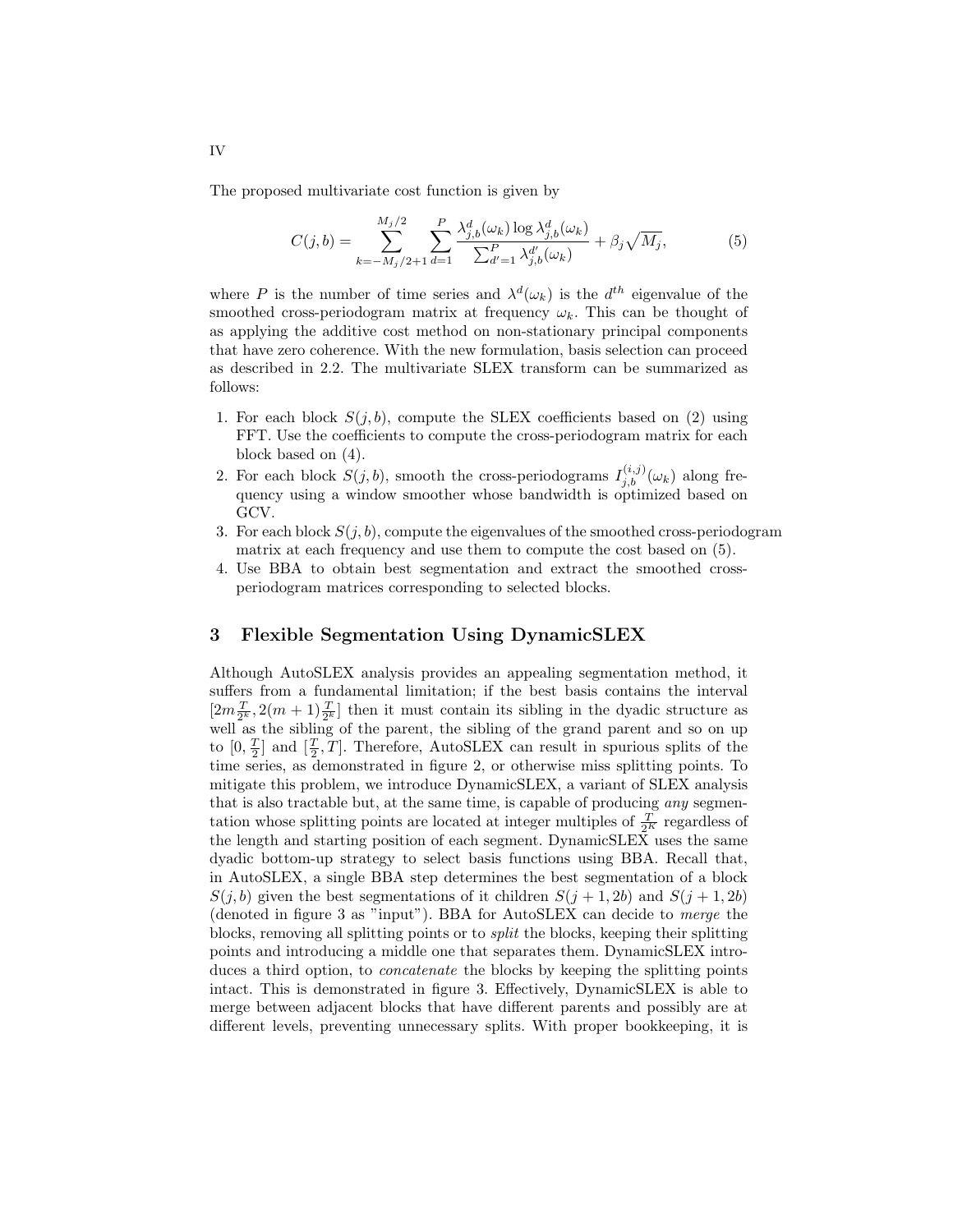The proposed multivariate cost function is given by

$$
C(j,b) = \sum_{k=-M_j/2+1}^{M_j/2} \sum_{d=1}^{P} \frac{\lambda_{j,b}^d(\omega_k) \log \lambda_{j,b}^d(\omega_k)}{\sum_{d'=1}^{P} \lambda_{j,b}^{d'}(\omega_k)} + \beta_j \sqrt{M_j},
$$
(5)

where *P* is the number of time series and  $\lambda^d(\omega_k)$  is the  $d^{th}$  eigenvalue of the smoothed cross-periodogram matrix at frequency  $\omega_k$ . This can be thought of as applying the additive cost method on non-stationary principal components that have zero coherence. With the new formulation, basis selection can proceed as described in 2.2. The multivariate SLEX transform can be summarized as follows:

- 1. For each block  $S(j, b)$ , compute the SLEX coefficients based on (2) using FFT. Use the coefficients to compute the cross-periodogram matrix for each block based on (4).
- 2. For each block  $S(j, b)$ , smooth the cross-periodograms  $I_{j,b}^{(i,j)}(\omega_k)$  along frequency using a window smoother whose bandwidth is optimized based on GCV.
- 3. For each block  $S(j, b)$ , compute the eigenvalues of the smoothed cross-periodogram matrix at each frequency and use them to compute the cost based on (5).
- 4. Use BBA to obtain best segmentation and extract the smoothed crossperiodogram matrices corresponding to selected blocks.

# 3 Flexible Segmentation Using DynamicSLEX

Although AutoSLEX analysis provides an appealing segmentation method, it suffers from a fundamental limitation; if the best basis contains the interval  $[2m\frac{T}{2^k}, 2(m+1)\frac{T}{2^k}]$  then it must contain its sibling in the dyadic structure as well as the sibling of the parent, the sibling of the grand parent and so on up to  $[0, \frac{T}{2}]$  and  $[\frac{T}{2}, T]$ . Therefore, AutoSLEX can result in spurious splits of the time series, as demonstrated in figure 2, or otherwise miss splitting points. To mitigate this problem, we introduce DynamicSLEX, a variant of SLEX analysis that is also tractable but, at the same time, is capable of producing *any* segmentation whose splitting points are located at integer multiples of  $\frac{T}{2^K}$  regardless of the length and starting position of each segment. DynamicSLEX uses the same dyadic bottom-up strategy to select basis functions using BBA. Recall that, in AutoSLEX, a single BBA step determines the best segmentation of a block *S*(*j, b*) given the best segmentations of it children  $S(j + 1, 2b)$  and  $S(j + 1, 2b)$ (denoted in figure 3 as "input"). BBA for AutoSLEX can decide to *merge* the blocks, removing all splitting points or to *split* the blocks, keeping their splitting points and introducing a middle one that separates them. DynamicSLEX introduces a third option, to *concatenate* the blocks by keeping the splitting points intact. This is demonstrated in figure 3. Effectively, DynamicSLEX is able to merge between adjacent blocks that have different parents and possibly are at different levels, preventing unnecessary splits. With proper bookkeeping, it is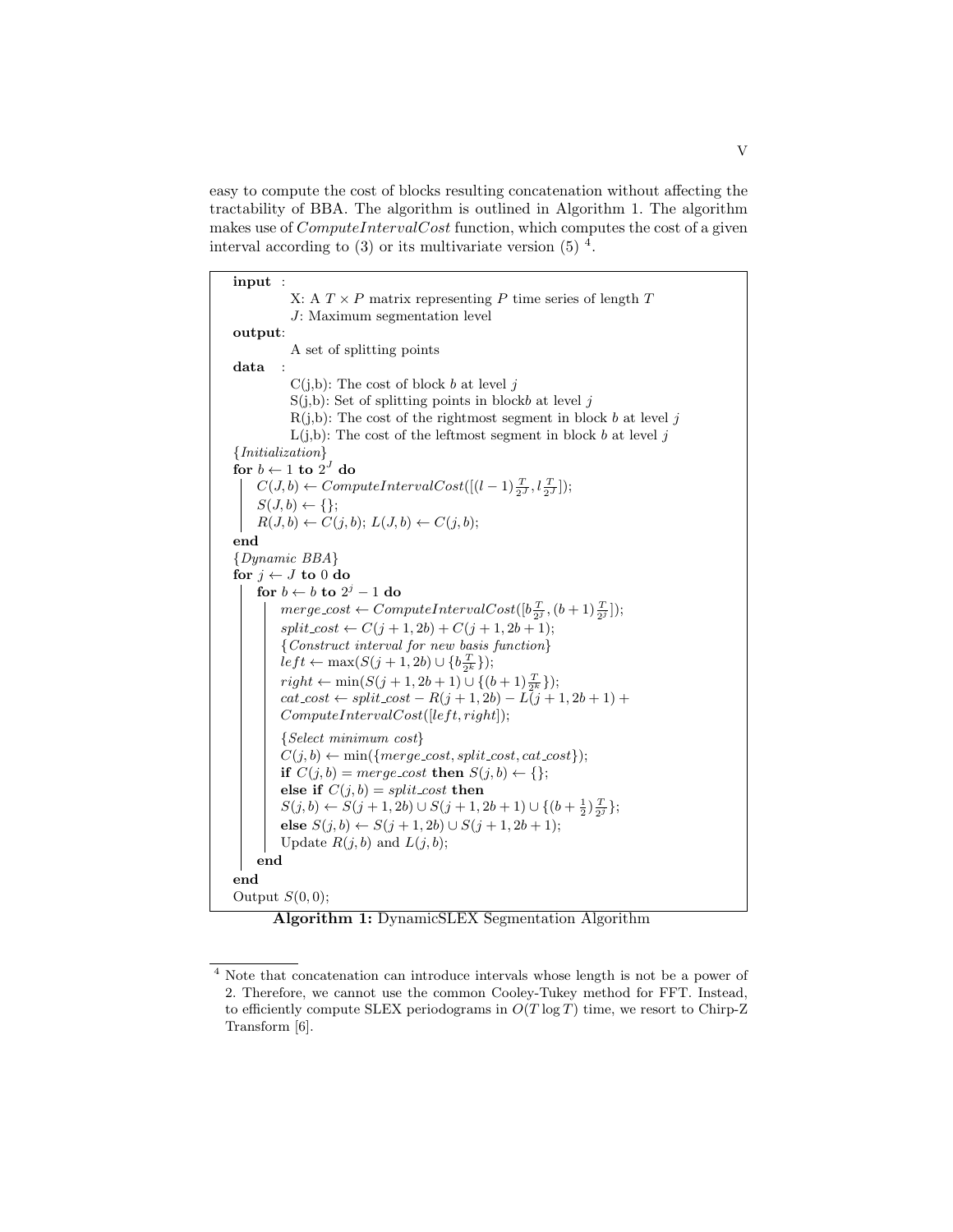easy to compute the cost of blocks resulting concatenation without affecting the tractability of BBA. The algorithm is outlined in Algorithm 1. The algorithm makes use of *ComputeIntervalCost* function, which computes the cost of a given interval according to  $(3)$  or its multivariate version  $(5)$  <sup>4</sup>.

input : X: A  $T \times P$  matrix representing  $P$  time series of length  $T$ *J*: Maximum segmentation level output: A set of splitting points data :  $C(j,b)$ : The cost of block *b* at level *j* S(j,b): Set of splitting points in block*b* at level *j*  $R(j,b)$ : The cost of the rightmost segment in block *b* at level *j*  $L(j,b)$ : The cost of the leftmost segment in block *b* at level *j {Initialization}* for  $b \leftarrow 1$  to  $2^J$  do  $C(J,b) \leftarrow ComputeIntervalCost([(l-1)\frac{T}{2^J},l\frac{T}{2^J}]);$  $S(J, b) \leftarrow \{\};$  $R(J, b) \leftarrow C(j, b); L(J, b) \leftarrow C(j, b);$ end *{Dynamic BBA}* for  $j \leftarrow J$  to 0 do for  $b \leftarrow b$  to  $2^j - 1$  do  $merge\_cost \leftarrow ComputeIntervalCost([\mathbf{b}\frac{T}{2^j}, (\mathbf{b}+1)\frac{T}{2^j}]);$  $split\_cost \leftarrow C(j + 1, 2b) + C(j + 1, 2b + 1);$ *{Construct interval for new basis function}*  $left \gets \max(S(j + 1, 2b) \cup \{b_{\frac{T}{2^k}}\});$  $right \leftarrow \min(S(j + 1, 2b + 1) \cup \{(b + 1)\frac{T}{2^k}\});$  $cat\_cost \leftarrow split\_cost - R(j + 1, 2b) - L(j + 1, 2b + 1) +$  $ComputeIntervalCost([left, right]):$ *{Select minimum cost}*  $C(j, b) \leftarrow \min(\{merge\_cost, split\_cost, cat\_cost\});$ if  $C(j, b) = merge\_{cost}$  then  $S(j, b) \leftarrow \{\};$ else if  $C(j, b) = split \text{cost}$  then  $S(j, b) \leftarrow S(j + 1, 2b) \cup S(j + 1, 2b + 1) \cup \{(b + \frac{1}{2})\frac{T}{2^j}\};$ else  $S(j, b) \leftarrow S(j + 1, 2b) \cup S(j + 1, 2b + 1);$ Update  $R(j, b)$  and  $L(j, b)$ ; end end Output *S*(0*,* 0);

Algorithm 1: DynamicSLEX Segmentation Algorithm

<sup>4</sup> Note that concatenation can introduce intervals whose length is not be a power of 2. Therefore, we cannot use the common Cooley-Tukey method for FFT. Instead, to efficiently compute SLEX periodograms in  $O(T \log T)$  time, we resort to Chirp-Z Transform [6].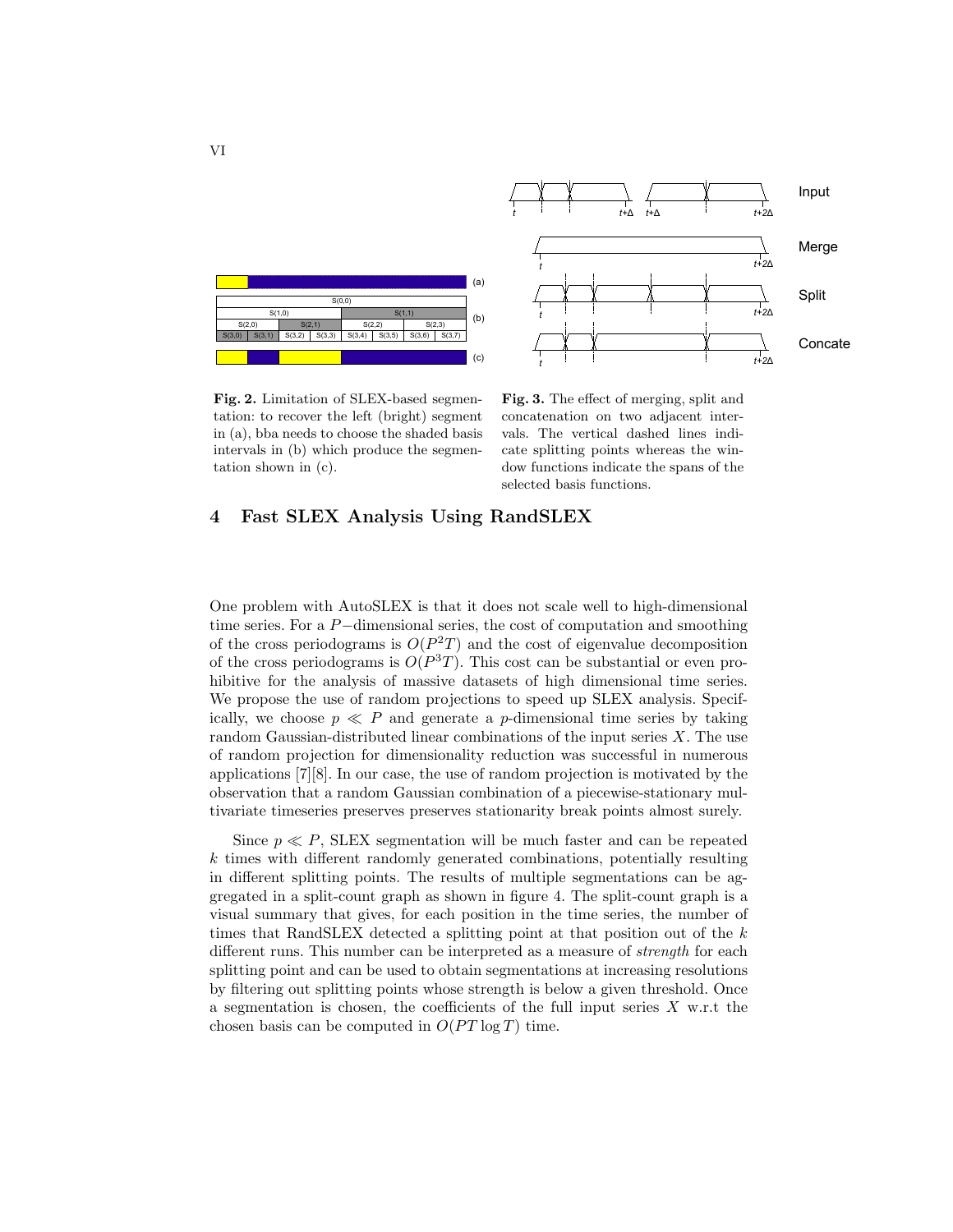

*t t t t+2*Δ *t+2*Δ *t+2*Δ Fig. 3. The effect of merging, split and

*t t+*Δ

*t+*Δ *t+2*Δ

Input

Merge

Split

Concate

Fig. 2. Limitation of SLEX-based segmentation: to recover the left (bright) segment in (a), bba needs to choose the shaded basis intervals in (b) which produce the segmentation shown in (c).

concatenation on two adjacent intervals. The vertical dashed lines indicate splitting points whereas the window functions indicate the spans of the selected basis functions.

# 4 Fast SLEX Analysis Using RandSLEX

One problem with AutoSLEX is that it does not scale well to high-dimensional time series. For a  $P$ -dimensional series, the cost of computation and smoothing of the cross periodograms is  $O(P^2T)$  and the cost of eigenvalue decomposition of the cross periodograms is  $O(P^{3}T)$ . This cost can be substantial or even prohibitive for the analysis of massive datasets of high dimensional time series. We propose the use of random projections to speed up SLEX analysis. Specifically, we choose  $p \ll P$  and generate a *p*-dimensional time series by taking random Gaussian-distributed linear combinations of the input series *X*. The use of random projection for dimensionality reduction was successful in numerous applications [7][8]. In our case, the use of random projection is motivated by the observation that a random Gaussian combination of a piecewise-stationary multivariate timeseries preserves preserves stationarity break points almost surely.

Since  $p \ll P$ , SLEX segmentation will be much faster and can be repeated  $k$  times with different randomly generated combinations, potentially resulting in different splitting points. The results of multiple segmentations can be aggregated in a split-count graph as shown in figure 4. The split-count graph is a visual summary that gives, for each position in the time series, the number of times that RandSLEX detected a splitting point at that position out of the *k* different runs. This number can be interpreted as a measure of *strength* for each splitting point and can be used to obtain segmentations at increasing resolutions by filtering out splitting points whose strength is below a given threshold. Once a segmentation is chosen, the coefficients of the full input series  $X$  w.r.t the chosen basis can be computed in  $O(PT \log T)$  time.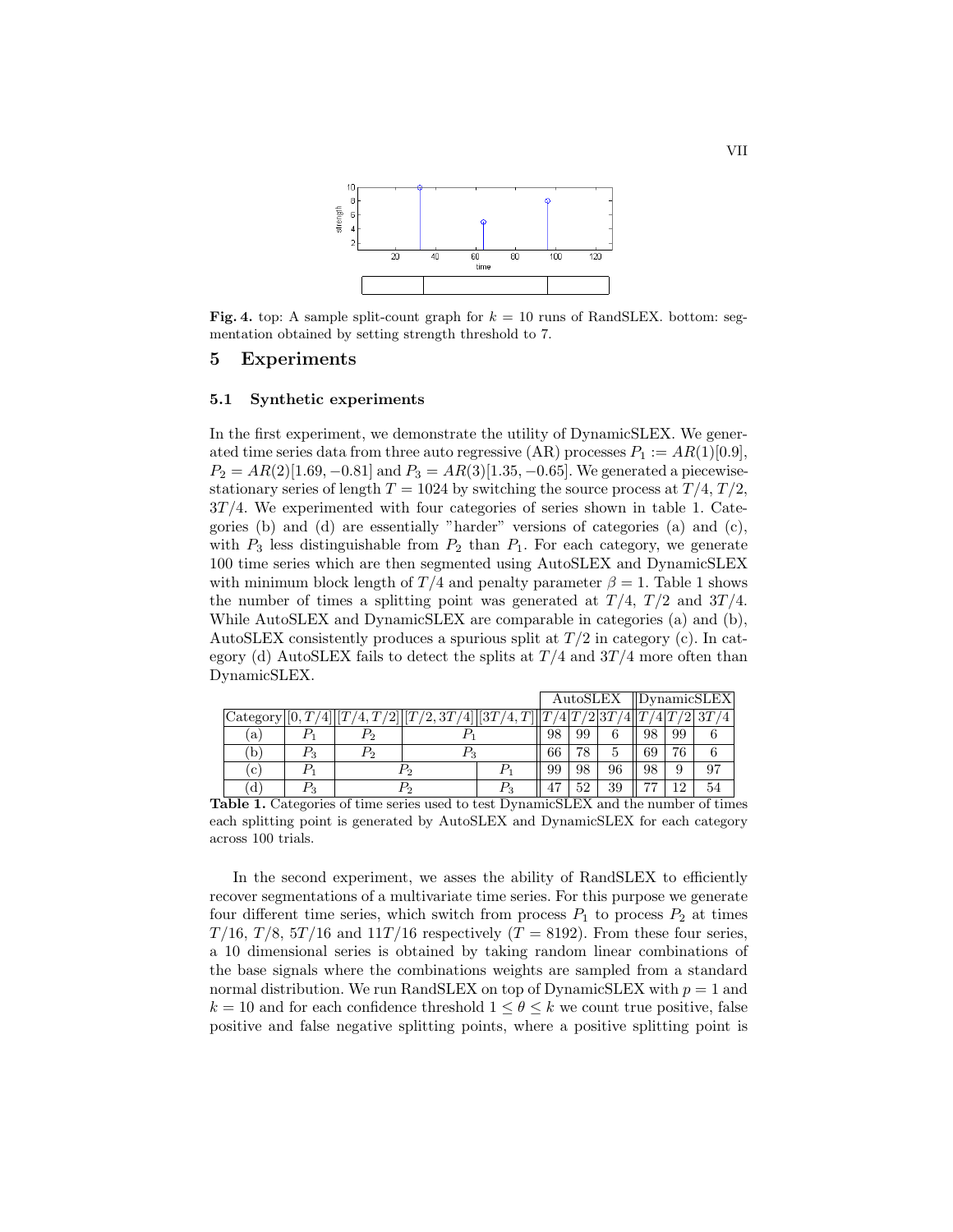

Fig. 4. top: A sample split-count graph for  $k = 10$  runs of RandSLEX. bottom: segmentation obtained by setting strength threshold to 7.

## 5 Experiments

### 5.1 Synthetic experiments

In the first experiment, we demonstrate the utility of DynamicSLEX. We generated time series data from three auto regressive (AR) processes  $P_1 := AR(1)[0.9]$ ,  $P_2 = AR(2)[1.69, -0.81]$  and  $P_3 = AR(3)[1.35, -0.65]$ . We generated a piecewisestationary series of length  $T = 1024$  by switching the source process at  $T/4$ ,  $T/2$ , 3*T /*4. We experimented with four categories of series shown in table 1. Categories (b) and (d) are essentially "harder" versions of categories (a) and (c), with  $P_3$  less distinguishable from  $P_2$  than  $P_1$ . For each category, we generate 100 time series which are then segmented using AutoSLEX and DynamicSLEX with minimum block length of  $T/4$  and penalty parameter  $\beta = 1$ . Table 1 shows the number of times a splitting point was generated at  $T/4$ ,  $T/2$  and  $3T/4$ . While AutoSLEX and DynamicSLEX are comparable in categories (a) and (b), AutoSLEX consistently produces a spurious split at  $T/2$  in category (c). In category (d) AutoSLEX fails to detect the splits at *T /*4 and 3*T /*4 more often than DynamicSLEX.

|                       |         |       |                   |               | AutoSLEX |    |                  | $\rm\,IDvnamic SLEX\,$ |     |    |
|-----------------------|---------|-------|-------------------|---------------|----------|----|------------------|------------------------|-----|----|
| $ {\rm Category} [0,$ | 41      |       | [[T/2, 3T/4]][3T] | $^{\prime}4.$ |          |    | $^{\prime 2 3T}$ |                        | ′2  |    |
| a                     |         |       |                   |               | 98       | 99 | 6                | 98                     | 99  |    |
| b                     | $P_3$   | $r_2$ | $\mathit{r}_3$    |               | 66       | 78 | Ð                | 69                     | 76  |    |
| c                     |         |       |                   |               | 99       | 98 | 96               | 98                     | 9   | 97 |
| l d                   | $P_{3}$ |       |                   |               | 47       | 52 | 39               | חח                     | 1 ດ | 54 |

Table 1. Categories of time series used to test DynamicSLEX and the number of times each splitting point is generated by AutoSLEX and DynamicSLEX for each category across 100 trials.

In the second experiment, we asses the ability of RandSLEX to efficiently recover segmentations of a multivariate time series. For this purpose we generate four different time series, which switch from process  $P_1$  to process  $P_2$  at times *T*/16, *T*/8, 5*T*/16 and 11*T*/16 respectively (*T* = 8192). From these four series, a 10 dimensional series is obtained by taking random linear combinations of the base signals where the combinations weights are sampled from a standard normal distribution. We run RandSLEX on top of DynamicSLEX with *p* = 1 and  $k = 10$  and for each confidence threshold  $1 \leq \theta \leq k$  we count true positive, false positive and false negative splitting points, where a positive splitting point is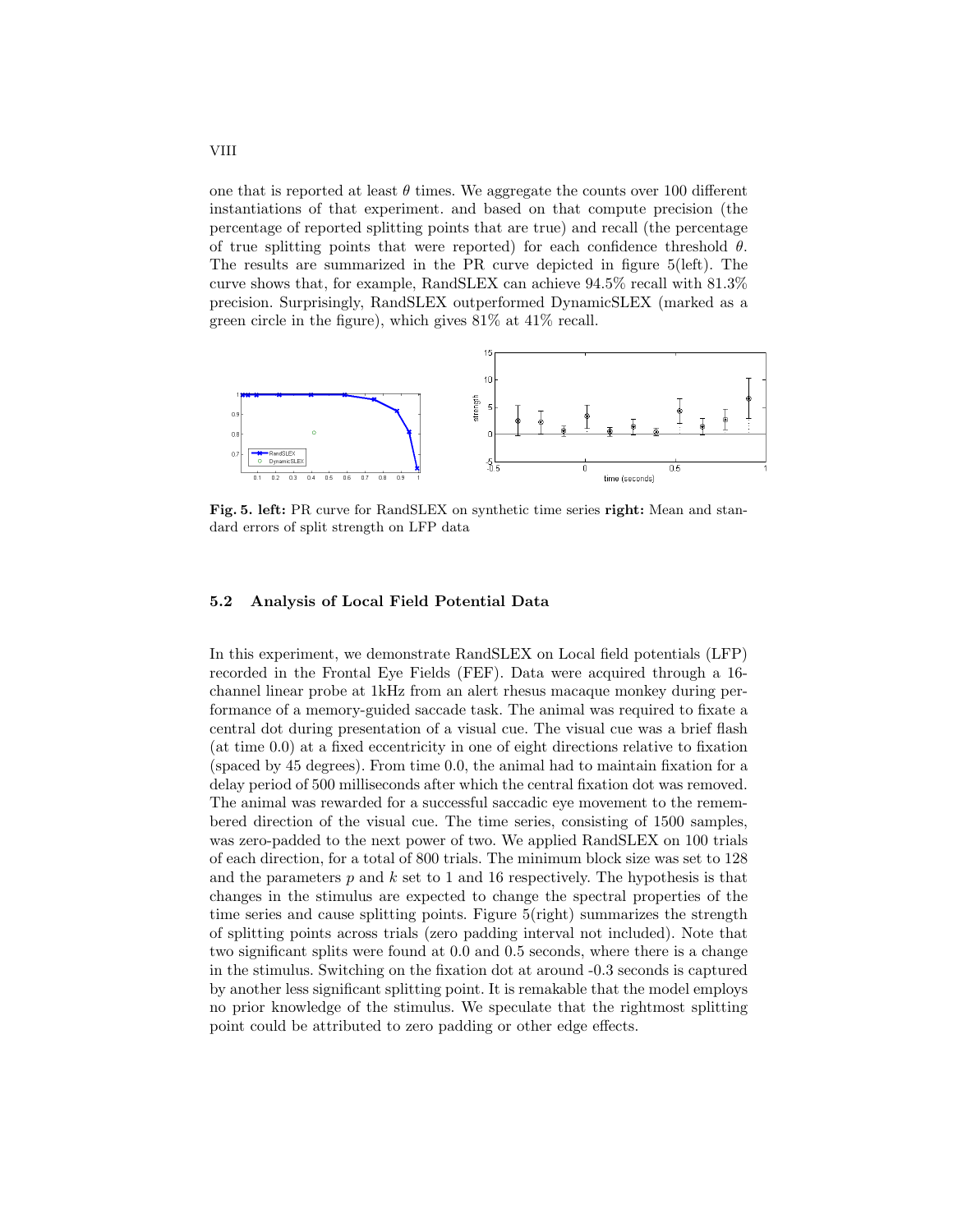one that is reported at least  $\theta$  times. We aggregate the counts over 100 different instantiations of that experiment. and based on that compute precision (the percentage of reported splitting points that are true) and recall (the percentage of true splitting points that were reported) for each confidence threshold  $\theta$ . The results are summarized in the PR curve depicted in figure 5(left). The curve shows that, for example, RandSLEX can achieve 94.5% recall with 81.3% precision. Surprisingly, RandSLEX outperformed DynamicSLEX (marked as a green circle in the figure), which gives 81% at 41% recall.



Fig. 5. left: PR curve for RandSLEX on synthetic time series right: Mean and standard errors of split strength on LFP data

### 5.2 Analysis of Local Field Potential Data

In this experiment, we demonstrate RandSLEX on Local field potentials (LFP) recorded in the Frontal Eye Fields (FEF). Data were acquired through a 16 channel linear probe at 1kHz from an alert rhesus macaque monkey during performance of a memory-guided saccade task. The animal was required to fixate a central dot during presentation of a visual cue. The visual cue was a brief flash (at time 0.0) at a fixed eccentricity in one of eight directions relative to fixation (spaced by 45 degrees). From time 0.0, the animal had to maintain fixation for a delay period of 500 milliseconds after which the central fixation dot was removed. The animal was rewarded for a successful saccadic eye movement to the remembered direction of the visual cue. The time series, consisting of 1500 samples, was zero-padded to the next power of two. We applied RandSLEX on 100 trials of each direction, for a total of 800 trials. The minimum block size was set to 128 and the parameters *p* and *k* set to 1 and 16 respectively. The hypothesis is that changes in the stimulus are expected to change the spectral properties of the time series and cause splitting points. Figure 5(right) summarizes the strength of splitting points across trials (zero padding interval not included). Note that two significant splits were found at 0.0 and 0.5 seconds, where there is a change in the stimulus. Switching on the fixation dot at around -0.3 seconds is captured by another less significant splitting point. It is remakable that the model employs no prior knowledge of the stimulus. We speculate that the rightmost splitting point could be attributed to zero padding or other edge effects.